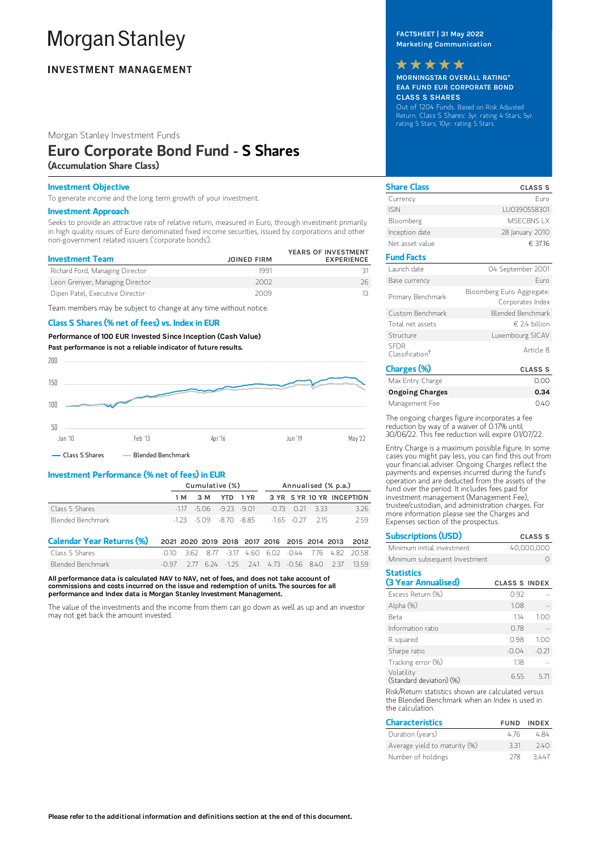# **Morgan Stanley**

# **INVESTMENT MANAGEMENT**

Morgan Stanley Investment Funds

## Euro Corporate Bond Fund - S Shares (Accumulation Share Class)

## Investment Objective

To generate income and the long term growth of your investment.

### Investment Approach

Seeks to provide an attractive rate of relative return, measured in Euro, through investment primarily in high quality issues of Euro denominated fixed income securities, issued by corporations and other non-government related issuers ('corporate bonds').

| <b>Investment Team</b>          | <b>JOINED FIRM</b> | YEARS OF INVESTMENT<br><b>EXPERIENCE</b> |
|---------------------------------|--------------------|------------------------------------------|
| Richard Ford, Managing Director | 1991               |                                          |
| Leon Grenyer, Managing Director | 2002               | 26.                                      |
| Dipen Patel, Executive Director | 2009               |                                          |

Team members may be subject to change at any time without notice.

## Class S Shares (% net of fees) vs. Index in EUR

Performance of100 EUR Invested Since Inception (Cash Value) Past performance is not a reliable indicator of future results.



## Investment Performance (% net of fees) in EUR

|                   | Cumulative (%) |  |  |  |                                                    | Annualised (% p.a.) |  |                                      |  |
|-------------------|----------------|--|--|--|----------------------------------------------------|---------------------|--|--------------------------------------|--|
|                   |                |  |  |  |                                                    |                     |  | 1M 3M YTD 1YR 3YR 5YR 10YR INCEPTION |  |
| Class S Shares    |                |  |  |  | $-117$ $-5.06$ $-9.23$ $-9.01$ $-0.73$ $0.21$ 3.33 |                     |  | 326                                  |  |
| Blended Benchmark |                |  |  |  | $-173 - 509 - 870 - 885 - 165 - 077$ 215           |                     |  | 259                                  |  |

| Calendar Year Returns (%) 2021 2020 2019 2018 2017 2016 2015 2014 2013 2012 |  |  |  |  |                                                                           |
|-----------------------------------------------------------------------------|--|--|--|--|---------------------------------------------------------------------------|
| Class S Shares                                                              |  |  |  |  | $-0.10$ 3.62 8.77 $-3.17$ 4.60 6.02 $-0.44$ 7.76 4.82 20.58               |
| Blended Benchmark                                                           |  |  |  |  | $-0.97$ $2.77$ $6.24$ $-1.25$ $2.41$ $4.73$ $-0.56$ $8.40$ $2.37$ $13.59$ |

All performance data is calculated NAV to NAV, net of fees, and does not take account of commissions and costs incurred on the issue and redemption of units. The sources for all performance and Index data is Morgan Stanley Investment Management.

The value of the investments and the income from them can go down as well as up and an investor may not get back the amount invested.

## FACTSHEET | 31 May 2022 Marketing Communication



MORNINGSTAR OVERALL RATING\* EAA FUND EUR CORPORATE BOND CLASS S SHARES

Out of 1204 Funds. Based on Risk Adjusted Return. Class S Shares: 3yr. rating 4 Stars; 5yr. rating 5 Stars; 10yr. rating 5 Stars.

| <b>Share Class</b>                         | <b>CLASS S</b>                                |
|--------------------------------------------|-----------------------------------------------|
| Currency                                   | Furo                                          |
| <b>ISIN</b>                                | LU0390558301                                  |
| Bloomberg                                  | MSECBNS I X                                   |
| Inception date                             | 28 January 2010                               |
| Net asset value                            | € 37.16                                       |
| <b>Fund Facts</b>                          |                                               |
| Launch date                                | 04 September 2001                             |
| Base currency                              | Furo                                          |
| Primary Benchmark                          | Bloomberg Euro Aggregate:<br>Corporates Index |
| Custom Benchmark                           | Blended Benchmark                             |
| Total net assets                           | $\in$ 2.4 billion                             |
| Structure                                  | Luxembourg SICAV                              |
| <b>SEDR</b><br>Classification <sup>†</sup> | Article 8                                     |
| Charges (%)                                | <b>CLASS S</b>                                |

| u lai ges ( /u/        | ulado o |
|------------------------|---------|
| Max Entry Charge       | 0.00    |
| <b>Ongoing Charges</b> | 0.34    |
| Management Fee         | 0.40    |

The ongoing charges figure incorporates a fee reduction by way of a waiver of 0.17% until 30/06/22. This fee reduction will expire 01/07/22.

Entry Charge is a maximum possible figure. In some cases you might pay less, you can find this out from your financial adviser. Ongoing Charges reflect the payments and expenses incurred during the fund's operation and are deducted from the assets of the fund over the period. It includes fees paid for investment management (Management Fee), trustee/custodian, and administration charges. For more information please see the Charges and Expenses section of the prospectus.

| <b>Subscriptions (USD)</b>               |                      | <b>CLASS S</b> |
|------------------------------------------|----------------------|----------------|
| Minimum initial investment               |                      | 40,000,000     |
| Minimum subsequent Investment            |                      |                |
| <b>Statistics</b><br>(3 Year Annualised) | <b>CLASS S INDEX</b> |                |
| Excess Return (%)                        | 0.92                 |                |
| Alpha (%)                                | 1.08                 |                |
| Beta                                     | 114                  | 1.00           |
| Information ratio                        | 0.78                 |                |
| R squared                                | 0.98                 | 1.00           |
| Sharpe ratio                             | $-0.04$              | $-0.21$        |
| Tracking error (%)                       | 1.18                 |                |
| Volatility<br>(Standard deviation) (%)   | 6.55                 | 5.71           |

Risk/Return statistics shown are calculated versus the Blended Benchmark when an Index is used in the calculation.

| <b>Characteristics</b>        |      | <b>FUND INDEX</b> |
|-------------------------------|------|-------------------|
| Duration (years)              | 476  | 484               |
| Average yield to maturity (%) | 331  | 740               |
| Number of holdings            | -278 | 3447              |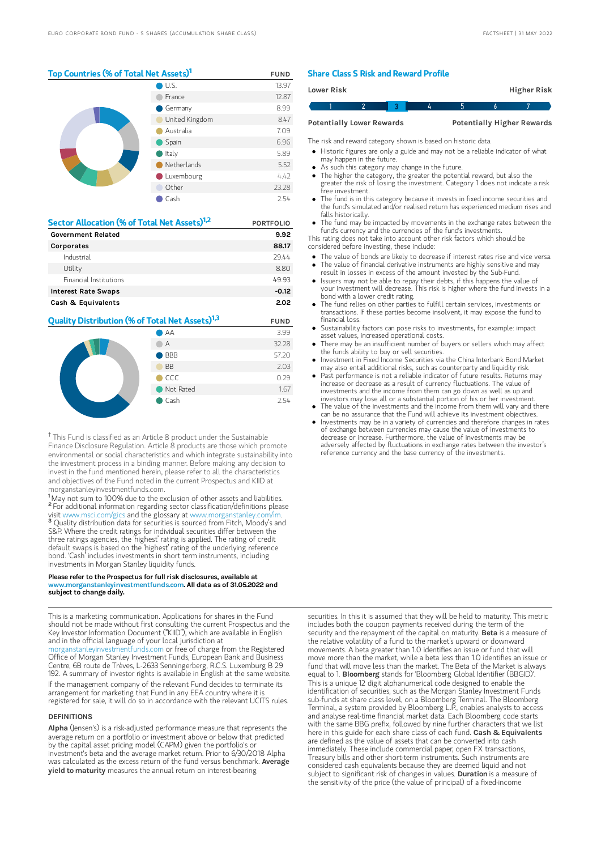## Top Countries (% of Total Net Assets)<sup>1</sup> FUND

|  | $\bigcup$ U.S. | 13.97 |
|--|----------------|-------|
|  | France         | 12.87 |
|  | Germany        | 8.99  |
|  | United Kingdom | 8.47  |
|  | Australia      | 7.09  |
|  | Spain          | 6.96  |
|  | Italy          | 5.89  |
|  | Netherlands    | 5.52  |
|  | Luxembourg     | 4.42  |
|  | Other          | 23.28 |
|  | Cash           | 2.54  |

| Sector Allocation (% of Total Net Assets) <sup>1,2</sup> | <b>PORTFOLIO</b> |  |
|----------------------------------------------------------|------------------|--|
| <b>Government Related</b>                                | 9.92             |  |
| Corporates                                               | 88.17            |  |
| Industrial                                               | 29.44            |  |
| Utility                                                  | 8.80             |  |
| Financial Institutions                                   | 49.93            |  |
| <b>Interest Rate Swaps</b>                               | $-0.12$          |  |
| Cash & Equivalents                                       | 2.02             |  |

## **Quality Distribution (% of Total Net Assets)<sup>1,3</sup> FUND**



<sup>†</sup> This Fund is classified as an Article 8 product under the Sustainable Finance Disclosure Regulation. Article 8 products are those which promote environmental or social characteristics and which integrate sustainability into the investment process in a binding manner. Before making any decision to invest in the fund mentioned herein, please refer to all the characteristics and objectives of the Fund noted in the current Prospectus and KIID at morganstanleyinvestmentfunds.com.

<sup>1</sup>May not sum to 100% due to the exclusion of other assets and liabilities. <sup>2</sup> For additional information regarding sector classification/definitions please visit www.msci.com/gics and the glossary at www.morganstanley.com/im. <sup>3</sup> Quality distribution data for securities is sourced from Fitch, Moody's and S&P. Where the credit ratings for individual securities differ between the three ratings agencies, the 'highest' rating is applied. The rating of credit default swaps is based on the 'highest' rating of the underlying reference bond. 'Cash' includes investments in short term instruments, including investments in Morgan Stanley liquidity funds.

#### Please refer to the Prospectus for full risk disclosures, available at www.morganstanleyinvestmentfunds.com. All data as of 31.05.2022 and subject to change daily.

This is a marketing communication. Applications for shares in the Fund should not be made without first consulting the current Prospectus and the Key Investor Information Document ("KIID"), which are available in English and in the official language of your local jurisdiction at [morganstanleyinvestmentfunds.com](https://www.morganstanley.com/im/msinvf/index.html) or free of charge from the Registered Office of Morgan Stanley Investment Funds, European Bank and Business

Centre, 6B route de Trèves, L-2633 Senningerberg, R.C.S. Luxemburg B 29 192. A summary of investor rights is available in English at the same website. If the management company of the relevant Fund decides to terminate its

arrangement for marketing that Fund in any EEA country where it is registered for sale, it will do so in accordance with the relevant UCITS rules.

#### DEFINITIONS

Alpha (Jensen's) is a risk-adjusted performance measure that represents the average return on a portfolio or investment above or below that predicted by the capital asset pricing model (CAPM) given the portfolio's or investment's beta and the average market return. Prior to 6/30/2018 Alpha was calculated as the excess return of the fund versus benchmark. Average yield to maturity measures the annual return on interest-bearing

## Share Class S Risk and Reward Profile

| Lower Risk                       |  |  |   |                                   | Higher Risk |
|----------------------------------|--|--|---|-----------------------------------|-------------|
|                                  |  |  | h | h                                 |             |
| <b>Potentially Lower Rewards</b> |  |  |   | <b>Potentially Higher Rewards</b> |             |

The risk and reward category shown is based on historic data.

- Historic figures are only a guide and may not be a reliable indicator of what may happen in the future.
- As such this category may change in the future.
- The higher the category, the greater the potential reward, but also the greater the risk of losing the investment. Category 1 does not indicate a risk free investment.
- The fund is in this category because it invests in fixed income securities and the fund's simulated and/or realised return has experienced medium rises and falls historically.
- The fund may be impacted by movements in the exchange rates between the fund's currency and the currencies of the fund's investments.

This rating does not take into account other risk factors which should be considered before investing, these include:

- The value of bonds are likely to decrease if interest rates rise and vice versa.  $\bullet$
- The value of financial derivative instruments are highly sensitive and may result in losses in excess of the amount invested by the Sub-Fund. Issuers may not be able to repay their debts, if this happens the value of
- your investment will decrease. This risk is higher where the fund invests in a bond with a lower credit rating.
- The fund relies on other parties to fulfill certain services, investments or transactions. If these parties become insolvent, it may expose the fund to financial loss.
- Sustainability factors can pose risks to investments, for example: impact asset values, increased operational costs.
- There may be an insufficient number of buyers or sellers which may affect the funds ability to buy or sell securities.
- Investment in Fixed Income Securities via the China Interbank Bond Market may also entail additional risks, such as counterparty and liquidity risk.
- Past performance is not a reliable indicator of future results. Returns may increase or decrease as a result of currency fluctuations. The value of investments and the income from them can go down as well as up and investors may lose all or a substantial portion of his or her investment.
- The value of the investments and the income from them will vary and there can be no assurance that the Fund will achieve its investment objectives.
- Investments may be in a variety of currencies and therefore changes in rates of exchange between currencies may cause the value of investments to decrease or increase. Furthermore, the value of investments may be adversely affected by fluctuations in exchange rates between the investor's reference currency and the base currency of the investments.

securities. In this it is assumed that they will be held to maturity. This metric includes both the coupon payments received during the term of the security and the repayment of the capital on maturity. Beta is a measure of the relative volatility of a fund to the market's upward or downward movements. A beta greater than 1.0 identifies an issue or fund that will move more than the market, while a beta less than 1.0 identifies an issue or fund that will move less than the market. The Beta of the Market is always equal to 1. **Bloomberg** stands for 'Bloomberg Global Identifier (BBGID) This is a unique 12 digit alphanumerical code designed to enable the identification of securities, such as the Morgan Stanley Investment Funds sub-funds at share class level, on a Bloomberg Terminal. The Bloomberg Terminal, a system provided by Bloomberg L.P., enables analysts to access and analyse real-time financial market data. Each Bloomberg code starts with the same BBG prefix, followed by nine further characters that we list here in this guide for each share class of each fund. Cash & Equivalents are defined as the value of assets that can be converted into cash immediately. These include commercial paper, open FX transactions, Treasury bills and other short-term instruments. Such instruments are considered cash equivalents because they are deemed liquid and not subject to significant risk of changes in values. Duration is a measure of the sensitivity of the price (the value of principal) of a fixed-income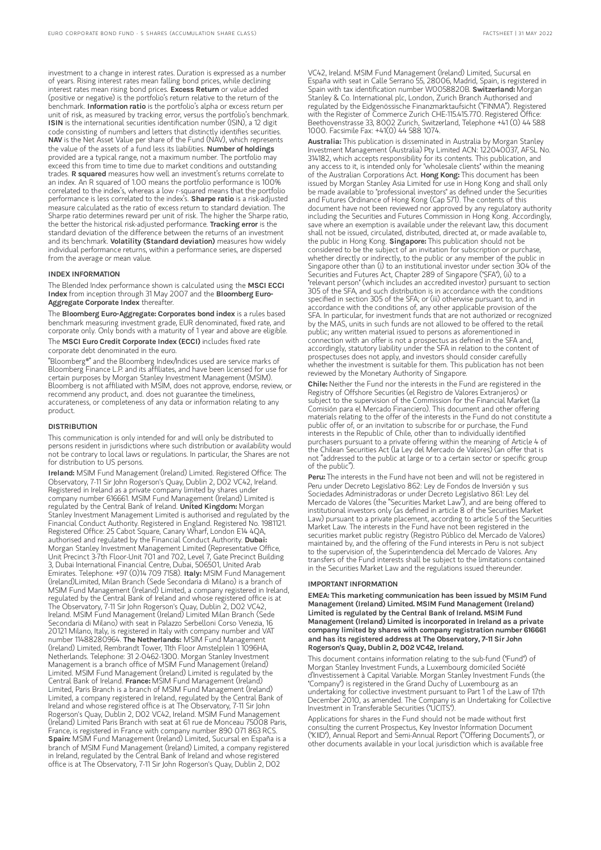investment to a change in interest rates. Duration is expressed as a number of years. Rising interest rates mean falling bond prices, while declining interest rates mean rising bond prices. Excess Return or value added (positive or negative) is the portfolio's return relative to the return of the benchmark. Information ratio is the portfolio's alpha or excess return per unit of risk, as measured by tracking error, versus the portfolio's benchmark. ISIN is the international securities identification number (ISIN), a 12 digit code consisting of numbers and letters that distinctly identifies securities. NAV is the Net Asset Value per share of the Fund (NAV), which represents the value of the assets of a fund less its liabilities. Number of holdings provided are a typical range, not a maximum number. The portfolio may exceed this from time to time due to market conditions and outstanding trades. R squared measures how well an investment's returns correlate to an index. An R squared of 1.00 means the portfolio performance is 100% correlated to the index's, whereas a low r-squared means that the portfolio performance is less correlated to the index's. **Sharpe ratio** is a risk-adjusted measure calculated as the ratio of excess return to standard deviation. The Sharpe ratio determines reward per unit of risk. The higher the Sharpe ratio, the better the historical risk-adjusted performance. Tracking error is the standard deviation of the difference between the returns of an investment and its benchmark. Volatility (Standard deviation) measures how widely individual performance returns, within a performance series, are dispersed from the average or mean value.

#### INDEX INFORMATION

The Blended Index performance shown is calculated using the MSCI ECCI Index from inception through 31 May 2007 and the Bloomberg Euro-Aggregate Corporate Index thereafter.

The Bloomberg Euro-Aggregate: Corporates bond index is a rules based benchmark measuring investment grade, EUR denominated, fixed rate, and corporate only. Only bonds with a maturity of 1 year and above are eligible. The MSCI Euro Credit Corporate Index (ECCI) includes fixed rate

corporate debt denominated in the euro.

"Bloomberg®" and the Bloomberg Index/Indices used are service marks of Bloomberg Finance L.P. and its affiliates, and have been licensed for use for certain purposes by Morgan Stanley Investment Management (MSIM). Bloomberg is not affiliated with MSIM, does not approve, endorse, review, or recommend any product, and. does not guarantee the timeliness, accurateness, or completeness of any data or information relating to any product.

#### **DISTRIBUTION**

This communication is only intended for and will only be distributed to persons resident in jurisdictions where such distribution or availability would not be contrary to local laws or regulations. In particular, the Shares are not for distribution to US persons.

Ireland: MSIM Fund Management (Ireland) Limited. Registered Office: The Observatory, 7-11 Sir John Rogerson's Quay, Dublin 2, D02 VC42, Ireland. Registered in Ireland as a private company limited by shares under company number 616661. MSIM Fund Management (Ireland) Limited is regulated by the Central Bank of Ireland. United Kingdom: Morgan Stanley Investment Management Limited is authorised and regulated by the Financial Conduct Authority. Registered in England. Registered No. 1981121. Registered Office: 25 Cabot Square, Canary Wharf, London E14 4QA, authorised and regulated by the Financial Conduct Authority. Dubai: Morgan Stanley Investment Management Limited (Representative Office, Unit Precinct 3-7th Floor-Unit 701 and 702, Level 7, Gate Precinct Building 3, Dubai International Financial Centre, Dubai, 506501, United Arab Emirates. Telephone: +97 (0)14 709 7158). Italy: MSIM Fund Management (Ireland)Limited, Milan Branch (Sede Secondaria di Milano) is a branch of MSIM Fund Management (Ireland) Limited, a company registered in Ireland, regulated by the Central Bank of Ireland and whose registered office is at The Observatory, 7-11 Sir John Rogerson's Quay, Dublin 2, D02 VC42, Ireland. MSIM Fund Management (Ireland) Limited Milan Branch (Sede Secondaria di Milano) with seat in Palazzo Serbelloni Corso Venezia, 16 20121 Milano, Italy, is registered in Italy with company number and VAT<br>number 11488280964. **The Netherlands:** MSIM Fund Management (Ireland) Limited, Rembrandt Tower, 11th Floor Amstelplein 1 1096HA, Netherlands. Telephone: 31 2-0462-1300. Morgan Stanley Investment Management is a branch office of MSIM Fund Management (Ireland) Limited. MSIM Fund Management (Ireland) Limited is regulated by the Entrical Many Pand Management (Ireland) Entrica is regulated by<br>Central Bank of Ireland. France: MSIM Fund Management (Ireland) Limited, Paris Branch is a branch of MSIM Fund Management (Ireland) Limited, a company registered in Ireland, regulated by the Central Bank of Ireland and whose registered office is at The Observatory, 7-11 Sir John Rogerson's Quay, Dublin 2, D02 VC42, Ireland. MSIM Fund Management (Ireland) Limited Paris Branch with seat at 61 rue de Monceau 75008 Paris, France, is registered in France with company number 890 071 863 RCS. Spain: MSIM Fund Management (Ireland) Limited, Sucursal en España is a branch of MSIM Fund Management (Ireland) Limited, a company registered in Ireland, regulated by the Central Bank of Ireland and whose registered office is at The Observatory, 7-11 Sir John Rogerson's Quay, Dublin 2, D02

VC42, Ireland. MSIM Fund Management (Ireland) Limited, Sucursal en España with seat in Calle Serrano 55, 28006, Madrid, Spain, is registered in<br>Spain with tax identification number W0058820B. **SwitzerIand:** Morgan Stanley & Co. International plc, London, Zurich Branch Authorised and regulated by the Eidgenössische Finanzmarktaufsicht ("FINMA"). Registered with the Register of Commerce Zurich CHE-115.415.770. Registered Office: Beethovenstrasse 33, 8002 Zurich, Switzerland, Telephone +41 (0) 44 588 1000. Facsimile Fax: +41(0) 44 588 1074.

Australia: This publication is disseminated in Australia by Morgan Stanley Investment Management (Australia) Pty Limited ACN: 122040037, AFSL No. 314182, which accepts responsibility for its contents. This publication, and any access to it, is intended only for "wholesale clients" within the meaning of the Australian Corporations Act. Hong Kong: This document has been issued by Morgan Stanley Asia Limited for use in Hong Kong and shall only be made available to "professional investors" as defined under the Securities and Futures Ordinance of Hong Kong (Cap 571). The contents of this document have not been reviewed nor approved by any regulatory authority including the Securities and Futures Commission in Hong Kong. Accordingly, save where an exemption is available under the relevant law, this document shall not be issued, circulated, distributed, directed at, or made available to, the public in Hong Kong. Singapore: This publication should not be considered to be the subject of an invitation for subscription or purchase, whether directly or indirectly, to the public or any member of the public in Singapore other than (i) to an institutional investor under section 304 of the Securities and Futures Act, Chapter 289 of Singapore ("SFA"), (ii) to a "relevant person" (which includes an accredited investor) pursuant to section 305 of the SFA, and such distribution is in accordance with the conditions specified in section 305 of the SFA; or (iii) otherwise pursuant to, and in accordance with the conditions of, any other applicable provision of the SFA. In particular, for investment funds that are not authorized or recognized by the MAS, units in such funds are not allowed to be offered to the retail public; any written material issued to persons as aforementioned in connection with an offer is not a prospectus as defined in the SFA and, accordingly, statutory liability under the SFA in relation to the content of prospectuses does not apply, and investors should consider carefully whether the investment is suitable for them. This publication has not been reviewed by the Monetary Authority of Singapore.

Chile: Neither the Fund nor the interests in the Fund are registered in the Registry of Offshore Securities (el Registro de Valores Extranjeros) or subject to the supervision of the Commission for the Financial Market (la Comisión para el Mercado Financiero). This document and other offering materials relating to the offer of the interests in the Fund do not constitute a public offer of, or an invitation to subscribe for or purchase, the Fund interests in the Republic of Chile, other than to individually identified purchasers pursuant to a private offering within the meaning of Article 4 of the Chilean Securities Act (la Ley del Mercado de Valores) (an offer that is not "addressed to the public at large or to a certain sector or specific group of the public").

Peru: The interests in the Fund have not been and will not be registered in Peru under Decreto Legislativo 862: Ley de Fondos de Inversión y sus Sociedades Administradoras or under Decreto Legislativo 861: Ley del Mercado de Valores (the "Securities Market Law"), and are being offered to institutional investors only (as defined in article 8 of the Securities Market Law) pursuant to a private placement, according to article 5 of the Securities Market Law. The interests in the Fund have not been registered in the securities market public registry (Registro Público del Mercado de Valores) maintained by, and the offering of the Fund interests in Peru is not subject to the supervision of, the Superintendencia del Mercado de Valores. Any transfers of the Fund interests shall be subject to the limitations contained in the Securities Market Law and the regulations issued thereunder.

#### IMPORTANT INFORMATION

EMEA: This marketing communication has been issued by MSIM Fund Management (Ireland) Limited. MSIM Fund Management (Ireland) Limited is regulated by the Central Bank of Ireland. MSIM Fund Management (Ireland) Limited is incorporated in Ireland as a private company limited by shares with company registration number 616661 and has its registered address at The Observatory, 7-11 Sir John Rogerson's Quay, Dublin 2, D02 VC42, Ireland.

This document contains information relating to the sub-fund ("Fund") of Morgan Stanley Investment Funds, a Luxembourg domiciled Société d'Investissement à Capital Variable. Morgan Stanley Investment Funds (the "Company") is registered in the Grand Duchy of Luxembourg as an undertaking for collective investment pursuant to Part 1 of the Law of 17th December 2010, as amended. The Company is an Undertaking for Collective Investment in Transferable Securities ("UCITS").

Applications for shares in the Fund should not be made without first consulting the current Prospectus, Key Investor Information Document ("KIID"), Annual Report and Semi-Annual Report ("Offering Documents"), or other documents available in your local jurisdiction which is available free